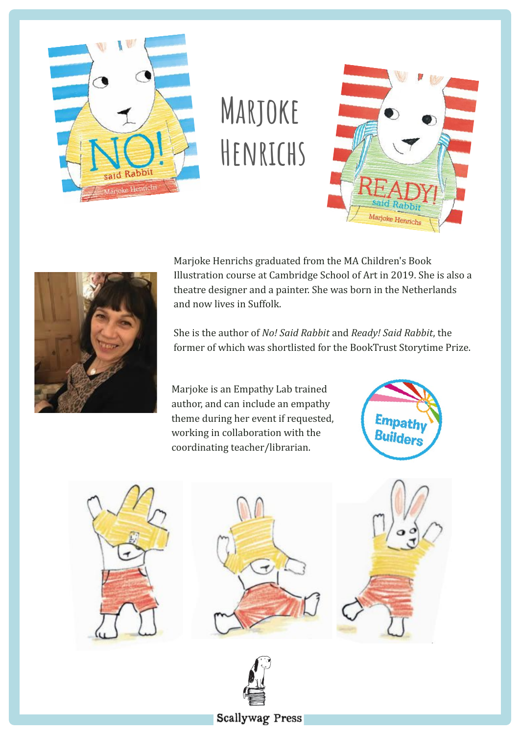

# **Marjoke Henrichs**





Marjoke Henrichs graduated from the MA Children's Book Illustration course at Cambridge School of Art in 2019. She is also a theatre designer and a painter. She was born in the Netherlands and now lives in Suffolk.

She is the author of *No! Said Rabbit* and *Ready! Said Rabbit*, the former of which was shortlisted for the BookTrust Storytime Prize.

Marjoke is an Empathy Lab trained author, and can include an empathy theme during her event if requested, working in collaboration with the coordinating teacher/librarian.











## **Scallywag Press**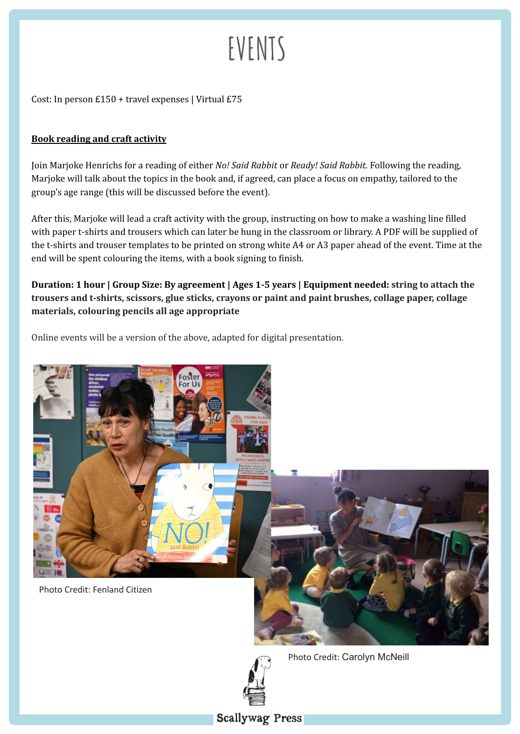# **EVENTS**

Cost: In person £150 + travel expenses | Virtual £75

#### **Book reading and craft activity**

Join Marjoke Henrichs for a reading of either *No! Said Rabbit* or *Ready! Said Rabbit.* Following the reading, Marjoke will talk about the topics in the book and, if agreed, can place a focus on empathy, tailored to the group's age range (this will be discussed before the event).

After this, Marjoke will lead a craft activity with the group, instructing on how to make a washing line filled with paper t-shirts and trousers which can later be hung in the classroom or library. A PDF will be supplied of the t-shirts and trouser templates to be printed on strong white A4 or A3 paper ahead of the event. Time at the end will be spent colouring the items, with a book signing to finish.

**Duration: 1 hour | Group Size: By agreement | Ages 1-5 years | Equipment needed: string to attach the trousers and t-shirts, scissors, glue sticks, crayons or paint and paint brushes, collage paper, collage materials, colouring pencils all age appropriate**

Online events will be a version of the above, adapted for digital presentation.





Photo Credit: Carolyn McNeill

### **Scallywag Press**